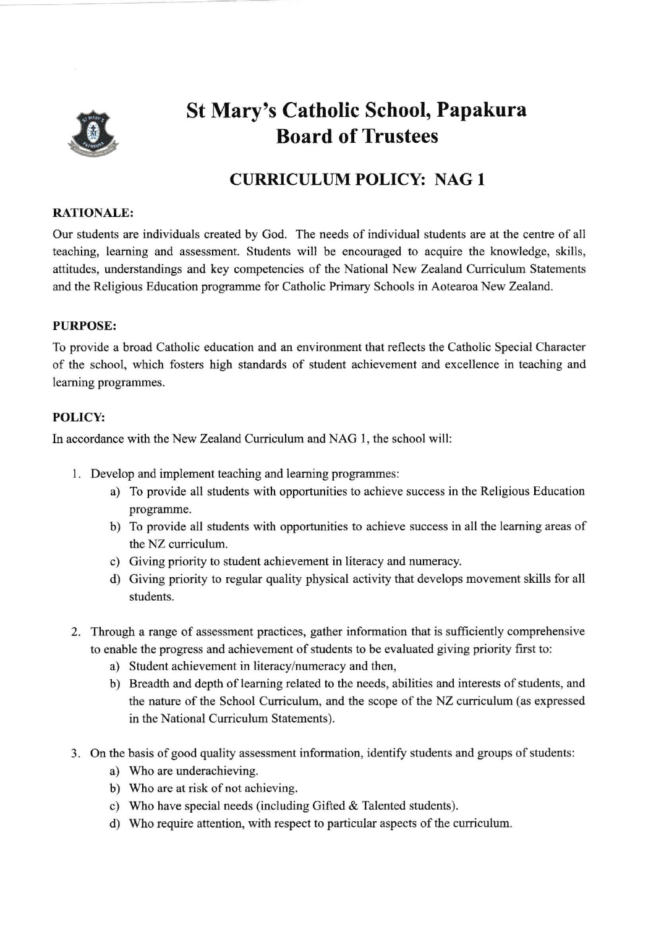

# St Mary's Catholic School, Papakura Board of Trustees

## CURRICULUM POLICY: NAG <sup>1</sup>

#### RATIONALE:

Our students are individuals created by Cod. The needs of individual students are at the centre of all teaching, leaming and assessment. Students will be encouraged to acquire the knowledge, skills, attitudes, understandings and key competencies of the National New Zealand Curriculum Statements and the Religious Education programme for Catholic Primary Schools in Aotearoa New Zealand.

### PURPOSE:

To provide a broad Catholic education and an environment that reflects the Catholic Special Character of the school, which fosters high standards of student achievement and excellence in teaching and leaming programmes.

### POLICY:

In accordance with the New Zealand Curriculum and NAG 1, the school will:

- l. Develop and implement teaching and leaming programmes:
	- a) To provide all students with opportunities to achieve success in the Religious Education programme.
	- b) To provide all students with opportunities to achieve success in all the leaming areas of the NZ curriculum.
	- c) Giving priority to student achievement in literacy and numeracy.
	- d) Giving priority to regular quality physical activity that develops movement skills for all students.
- Through a range of assessment practices, gather information that is sufficiently comprehensive to enable the progress and achievement of students to be evaluated giving priority first to:
	- a) Student achievement in literacy/numeracy and then,
	- b) Breadth and depth of learning related to the needs, abilities and interests of students, and the nature of the School Curriculum, and the scope of the NZ curriculum (as expressed in the National Curriculum Statements).
- 3. On the basis of good quality assessment information, identify students and groups of students
	- a) Who are underachieving.
	- b) Who are at risk of not achieving.
	- c) Who have special needs (including Gifted & Talented students).
	- d) Who require attention, with respect to particulm aspects of the curriculum.